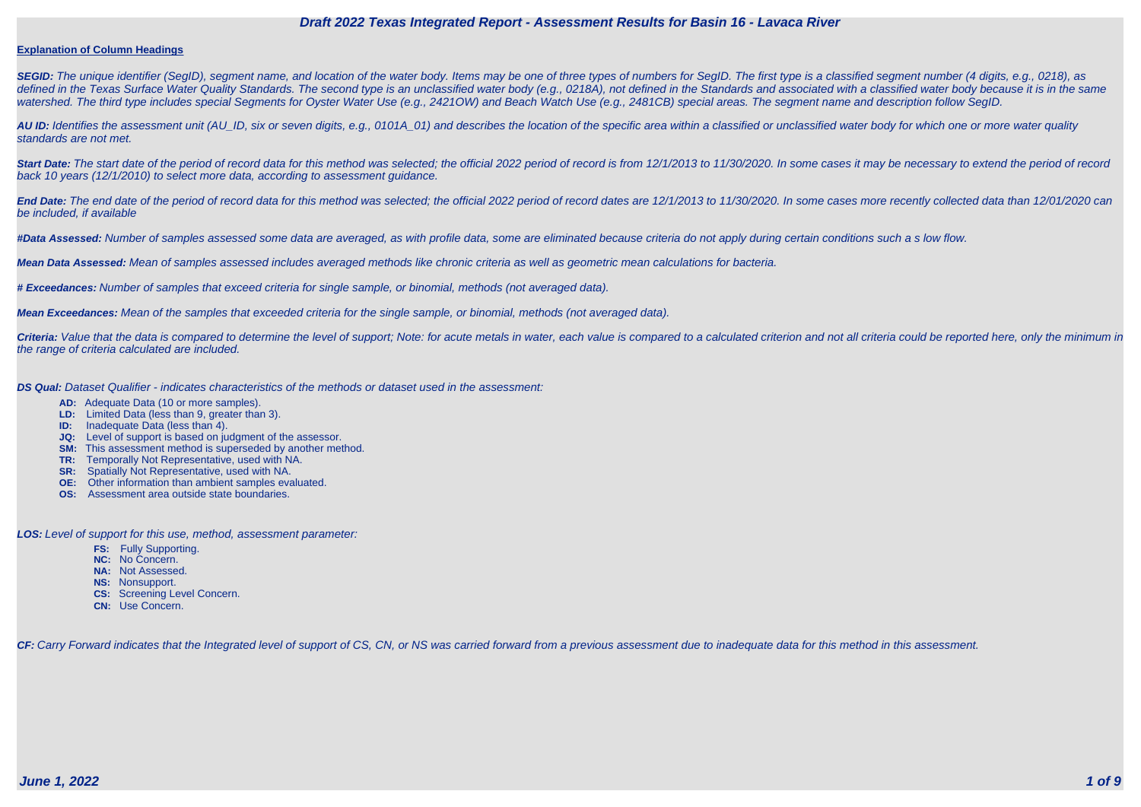#### **Explanation of Column Headings**

**SEGID:** The unique identifier (SegID), segment name, and location of the water body. Items may be one of three types of numbers for SegID. The first type is a classified segment number (4 digits, e.g., 0218), as defined in the Texas Surface Water Quality Standards. The second type is an unclassified water body (e.g., 0218A), not defined in the Standards and associated with a classified water body because it is in the same watershed. The third type includes special Segments for Oyster Water Use (e.g., 2421OW) and Beach Watch Use (e.g., 2481CB) special areas. The segment name and description follow SegID.

**AU ID:** Identifies the assessment unit (AU\_ID, six or seven digits, e.g., 0101A\_01) and describes the location of the specific area within a classified or unclassified water body for which one or more water quality standards are not met.

Start Date: The start date of the period of record data for this method was selected; the official 2022 period of record is from 12/1/2013 to 11/30/2020. In some cases it may be necessary to extend the period of record back 10 years (12/1/2010) to select more data, according to assessment guidance.

End Date: The end date of the period of record data for this method was selected; the official 2022 period of record dates are 12/1/2013 to 11/30/2020. In some cases more recently collected data than 12/01/2020 can be included, if available

Criteria: Value that the data is compared to determine the level of support; Note: for acute metals in water, each value is compared to a calculated criterion and not all criteria could be reported here, only the minimum i the range of criteria calculated are included.

**#Data Assessed:** Number of samples assessed some data are averaged, as with profile data, some are eliminated because criteria do not apply during certain conditions such a s low flow.

**Mean Data Assessed:** Mean of samples assessed includes averaged methods like chronic criteria as well as geometric mean calculations for bacteria.

**# Exceedances:** Number of samples that exceed criteria for single sample, or binomial, methods (not averaged data).

**Mean Exceedances:** Mean of the samples that exceeded criteria for the single sample, or binomial, methods (not averaged data).

**DS Qual:** Dataset Qualifier - indicates characteristics of the methods or dataset used in the assessment:

- **AD:** Adequate Data (10 or more samples).
- **LD:** Limited Data (less than 9, greater than 3).
- **ID:** Inadequate Data (less than 4).
- **JQ:** Level of support is based on judgment of the assessor.
- **SM:** This assessment method is superseded by another method.
- **TR:** Temporally Not Representative, used with NA.
- **SR:** Spatially Not Representative, used with NA.
- **OE:** Other information than ambient samples evaluated.
- **OS:** Assessment area outside state boundaries.

**LOS:** Level of support for this use, method, assessment parameter:

- **FS:** Fully Supporting.
- **NC:** No Concern.
- **NA:** Not Assessed.
- **NS:** Nonsupport.
- **CS:** Screening Level Concern.
- **CN:** Use Concern.

CF: Carry Forward indicates that the Integrated level of support of CS, CN, or NS was carried forward from a previous assessment due to inadequate data for this method in this assessment.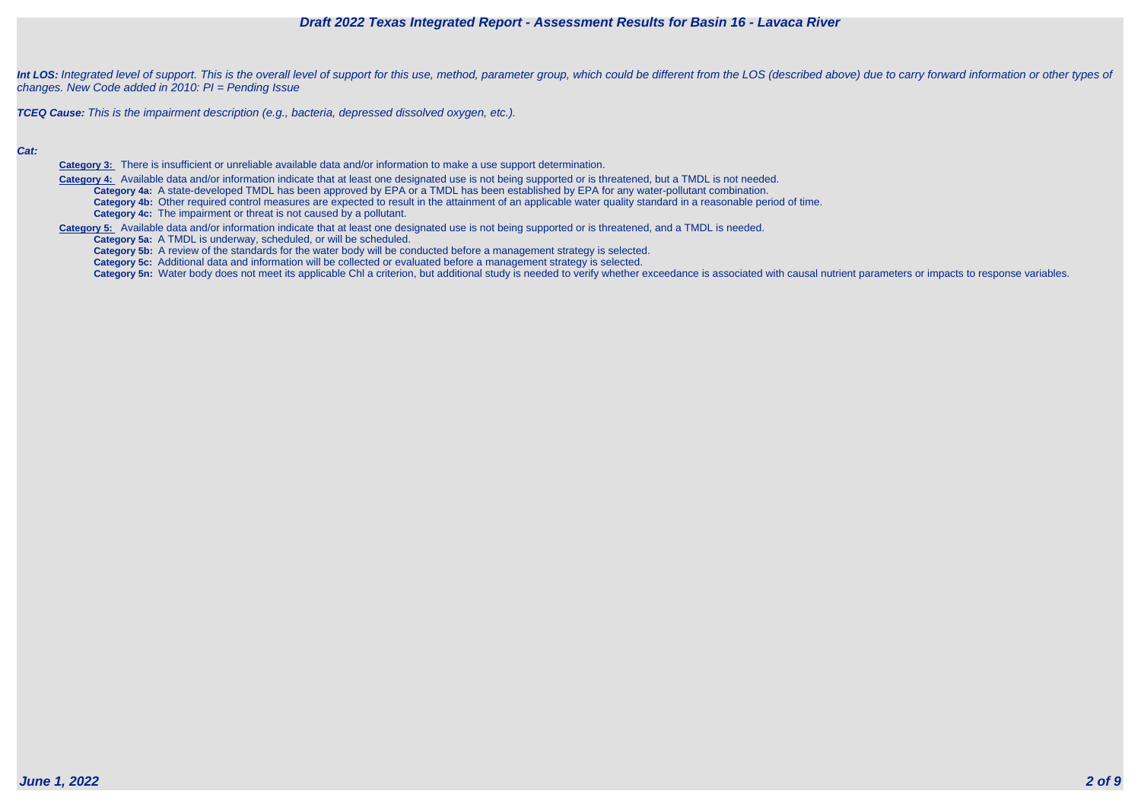

Int LOS: Integrated level of support. This is the overall level of support for this use, method, parameter group, which could be different from the LOS (described above) due to carry forward information or other types of changes. New Code added in 2010: PI = Pending Issue

**TCEQ Cause:** This is the impairment description (e.g., bacteria, depressed dissolved oxygen, etc.).

#### **Cat:**

**Category 3:** There is insufficient or unreliable available data and/or information to make a use support determination.

 **Category 4:** Available data and/or information indicate that at least one designated use is not being supported or is threatened, but a TMDL is not needed. **Category 4a:** A state-developed TMDL has been approved by EPA or a TMDL has been established by EPA for any water-pollutant combination. **Category 4b:** Other required control measures are expected to result in the attainment of an applicable water quality standard in a reasonable period of time. **Category 4c:** The impairment or threat is not caused by a pollutant.

**Category 5:** Available data and/or information indicate that at least one designated use is not being supported or is threatened, and a TMDL is needed.

**Category 5a:** A TMDL is underway, scheduled, or will be scheduled.

**Category 5b:** A review of the standards for the water body will be conducted before a management strategy is selected.

**Category 5c:** Additional data and information will be collected or evaluated before a management strategy is selected.

Category 5n: Water body does not meet its applicable Chl a criterion, but additional study is needed to verify whether exceedance is associated with causal nutrient parameters or impacts to response variables.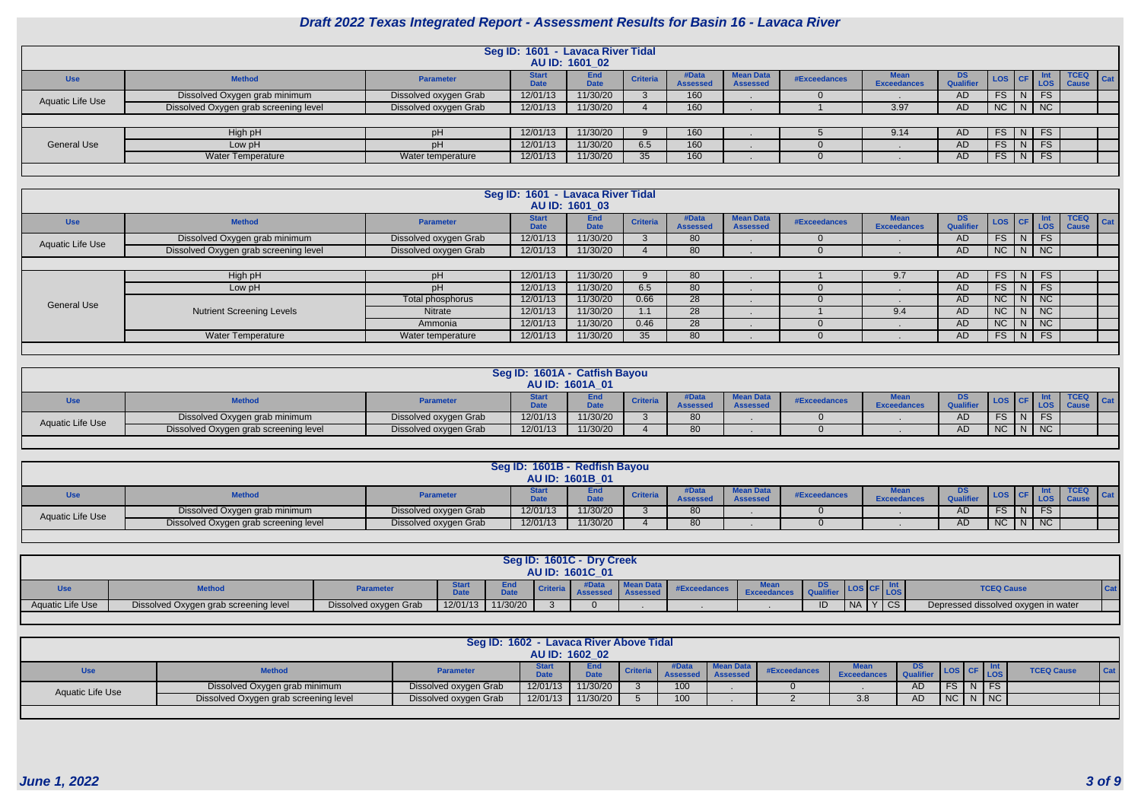|                    |                                       |                       | Seg ID: 1601 - Lavaca River Tidal | AU ID: 1601 02     |                 |                          |                      |              |                            |                         |        |          |            |                             |     |
|--------------------|---------------------------------------|-----------------------|-----------------------------------|--------------------|-----------------|--------------------------|----------------------|--------------|----------------------------|-------------------------|--------|----------|------------|-----------------------------|-----|
| <b>Use</b>         | <b>Method</b>                         | <b>Parameter</b>      | Start<br>Date                     | End<br><b>Date</b> | <b>Criteria</b> | #Data<br><b>Assessed</b> | ean Data<br>Assessed | #Exceedances | Mean<br><b>Exceedances</b> | DS.<br><b>Qualifier</b> | LOS CF |          | <b>LOS</b> | <b>TCEQ</b><br><b>Cause</b> | Cat |
| Aquatic Life Use   | Dissolved Oxygen grab minimum         | Dissolved oxygen Grab | 12/01/13                          | 11/30/20           |                 | 160                      |                      |              |                            | AD                      | FS.    | N FS     |            |                             |     |
|                    | Dissolved Oxygen grab screening level | Dissolved oxygen Grab | 12/01/13                          | 11/30/20           |                 | 160                      |                      |              | 3.97                       | AD                      | NC     | $N$ $NC$ |            |                             |     |
|                    |                                       |                       |                                   |                    |                 |                          |                      |              |                            |                         |        |          |            |                             |     |
|                    | High pH                               | pH                    | 12/01/13                          | 11/30/20           |                 | 160                      |                      |              | 9.14                       | AD                      | FS     | NFS      |            |                             |     |
| <b>General Use</b> | Low pH                                | pH                    | 12/01/13                          | 11/30/20           | 6.5             | 160                      |                      |              |                            | AD                      | FS.    | N FS     |            |                             |     |
|                    | <b>Water Temperature</b>              | Water temperature     | 12/01/13                          | 11/30/20           | 35              | 160                      |                      |              |                            | AD                      | FS     | $N$ FS   |            |                             |     |
|                    |                                       |                       |                                   |                    |                 |                          |                      |              |                            |                         |        |          |            |                             |     |

|                    |                                       |                       | Seg ID: 1601 - Lavaca River Tidal | AU ID: 1601 03            |                 |                          |                                     |              |                            |                               |           |                 |                                                                                      |                                        |
|--------------------|---------------------------------------|-----------------------|-----------------------------------|---------------------------|-----------------|--------------------------|-------------------------------------|--------------|----------------------------|-------------------------------|-----------|-----------------|--------------------------------------------------------------------------------------|----------------------------------------|
| <b>Use</b>         | <b>Method</b>                         | <b>Parameter</b>      | <b>Start</b><br><b>Date</b>       | <b>End</b><br><b>Date</b> | <b>Criteria</b> | #Data<br><b>Assessed</b> | <b>Mean Data</b><br><b>Assessed</b> | #Exceedances | Mean<br><b>Exceedances</b> | <b>DS</b><br><b>Qualifier</b> | LOS CF    |                 | $\begin{array}{c} \begin{array}{c} \text{int} \\ \text{LOS} \end{array} \end{array}$ | <b>TCEQ</b><br>$ $ Cat<br><b>Cause</b> |
| Aquatic Life Use   | Dissolved Oxygen grab minimum         | Dissolved oxygen Grab | 12/01/13                          | 11/30/20                  |                 | 80                       |                                     |              |                            | AD.                           | FS        | N               | <b>FS</b>                                                                            |                                        |
|                    | Dissolved Oxygen grab screening level | Dissolved oxygen Grab | 12/01/13                          | 11/30/20                  |                 | 80                       |                                     |              |                            | AD                            |           |                 | $NC$   $N$   $NC$                                                                    |                                        |
|                    |                                       |                       |                                   |                           |                 |                          |                                     |              |                            |                               |           |                 |                                                                                      |                                        |
|                    | High pH                               | pH                    | 12/01/13                          | 11/30/20                  |                 | 80                       |                                     |              | 9.7                        | AD.                           | <b>FS</b> | N               | - FS                                                                                 |                                        |
|                    | Low pH                                | pH                    | 12/01/13                          | 11/30/20                  | 6.5             | 80                       |                                     |              |                            | AD.                           | FS.       | N               | FS.                                                                                  |                                        |
| <b>General Use</b> |                                       | Total phosphorus      | 12/01/13                          | 11/30/20                  | 0.66            | 28                       |                                     |              |                            | AD                            | NC        | N               | INC.                                                                                 |                                        |
|                    | <b>Nutrient Screening Levels</b>      | Nitrate               | 12/01/13                          | 11/30/20                  | 1.1             | 28                       |                                     |              | 9.4                        | AD.                           | NC        | N               | $\overline{\phantom{a}}$ NC                                                          |                                        |
|                    |                                       | Ammonia               | 12/01/13                          | 11/30/20                  | 0.46            | 28                       |                                     |              |                            | AD.                           | NC        |                 | $N$ $NC$                                                                             |                                        |
|                    | <b>Water Temperature</b>              | Water temperature     | 12/01/13                          | 11/30/20                  | 35              | 80                       |                                     |              |                            | AD                            | <b>FS</b> | $\vert N \vert$ | <b>FS</b>                                                                            |                                        |
|                    |                                       |                       |                                   |                           |                 |                          |                                     |              |                            |                               |           |                 |                                                                                      |                                        |

| ean Data<br><b>DS</b><br><i>E</i> nd<br><b>Criteria</b><br>#Exceedances<br>Use<br><b>Method</b><br><b>Parameter</b><br><b>Qualifier</b><br><b>Data</b><br><b>Assessed</b><br><b>Exceedances</b><br>11/30/20<br>12/01/13<br>FS <sub>7</sub><br>Dissolved Oxygen grab minimum<br>Dissolved oxygen Grab<br>80<br>AD<br>FSINI<br>Aquatic Life Use<br>11/30/20<br>  NC<br>12/01/13<br><b>NC</b><br>80<br>AD<br>NI |                                       |                       | Seg ID: 1601A - Catfish Bayou | <b>AU ID: 1601A 01</b> |  |  |  |  |  |  |  |  |  |  |  |
|--------------------------------------------------------------------------------------------------------------------------------------------------------------------------------------------------------------------------------------------------------------------------------------------------------------------------------------------------------------------------------------------------------------|---------------------------------------|-----------------------|-------------------------------|------------------------|--|--|--|--|--|--|--|--|--|--|--|
|                                                                                                                                                                                                                                                                                                                                                                                                              | Cat                                   |                       |                               |                        |  |  |  |  |  |  |  |  |  |  |  |
|                                                                                                                                                                                                                                                                                                                                                                                                              |                                       |                       |                               |                        |  |  |  |  |  |  |  |  |  |  |  |
|                                                                                                                                                                                                                                                                                                                                                                                                              | Dissolved Oxygen grab screening level | Dissolved oxygen Grab |                               |                        |  |  |  |  |  |  |  |  |  |  |  |

|                  |                                                                                                                                                                                                                                                       |                       | Seg ID: 1601B - Redfish Bayou | <b>AU ID: 1601B 01</b> |  |    |  |  |  |    |  |  |          |  |  |
|------------------|-------------------------------------------------------------------------------------------------------------------------------------------------------------------------------------------------------------------------------------------------------|-----------------------|-------------------------------|------------------------|--|----|--|--|--|----|--|--|----------|--|--|
| Use              | <b>TCEQ</b><br><b><i><u>BA</u></i></b><br><b>Mean Data</b><br>DS<br>#Data<br>End<br><b>Criteria</b><br><b>Method</b><br>#Exceedances<br><b>Parameter</b><br>Cat 1<br>Qualifier<br>$\sum_{n=1}^{\infty}$<br>Assesseı<br>Assessed<br><b>Exceedances</b> |                       |                               |                        |  |    |  |  |  |    |  |  |          |  |  |
| Aquatic Life Use | Dissolved Oxygen grab minimum                                                                                                                                                                                                                         | Dissolved oxygen Grab | 12/01/13                      | 11/30/20               |  | 80 |  |  |  | AD |  |  |          |  |  |
|                  | Dissolved Oxygen grab screening level                                                                                                                                                                                                                 | Dissolved oxygen Grab | 12/01/13                      | 11/30/20               |  | 80 |  |  |  | AD |  |  | $N$   NC |  |  |

|                         |                                       |                       |          |             |               | Seg ID: 1601C - Dry Creek |         |            |    |                                |                                     |  |
|-------------------------|---------------------------------------|-----------------------|----------|-------------|---------------|---------------------------|---------|------------|----|--------------------------------|-------------------------------------|--|
|                         |                                       |                       |          |             |               | AU ID: 1601C 01           |         |            |    |                                |                                     |  |
|                         | <b>Method</b>                         | <b>Parameter</b>      |          | <b>D.L.</b> | <b>Criter</b> |                           | Mean Da | #Exceedanc | DS | LOS                            | <b>TCEQ Cause</b>                   |  |
| <b>Aquatic Life Use</b> | Dissolved Oxygen grab screening level | Dissolved oxygen Grab | 12/01/13 | 11/30/20    |               |                           |         |            |    | $\overline{\text{CS}}$<br>I NA | Depressed dissolved oxygen in water |  |
|                         |                                       |                       |          |             |               |                           |         |            |    |                                |                                     |  |

|                  |                                       | Seg ID: 1602 - Lavaca River Above Tidal |          | AU ID: 1602 02       |                 |     |           |              |                    |    |    |        |                   |     |
|------------------|---------------------------------------|-----------------------------------------|----------|----------------------|-----------------|-----|-----------|--------------|--------------------|----|----|--------|-------------------|-----|
| <b>Use</b>       | <b>Method</b>                         | <b>Parameter</b>                        |          | End i<br><b>1.1.</b> | <b>Criteria</b> |     | Mean Data | #Exceedances | <b>Exceedances</b> |    |    |        | <b>TCEQ Cause</b> | Cat |
| Aquatic Life Use | Dissolved Oxygen grab minimum         | Dissolved oxygen Grab                   | 12/01/13 | 11/30/20             |                 | 100 |           |              |                    | AD | FS | $N$ FS |                   |     |
|                  | Dissolved Oxygen grab screening level | Dissolved oxygen Grab                   | 12/01/13 | 11/30/20             |                 | 100 |           |              | 3.8                | AD | NC | $N$ NC |                   |     |
|                  |                                       |                                         |          |                      |                 |     |           |              |                    |    |    |        |                   |     |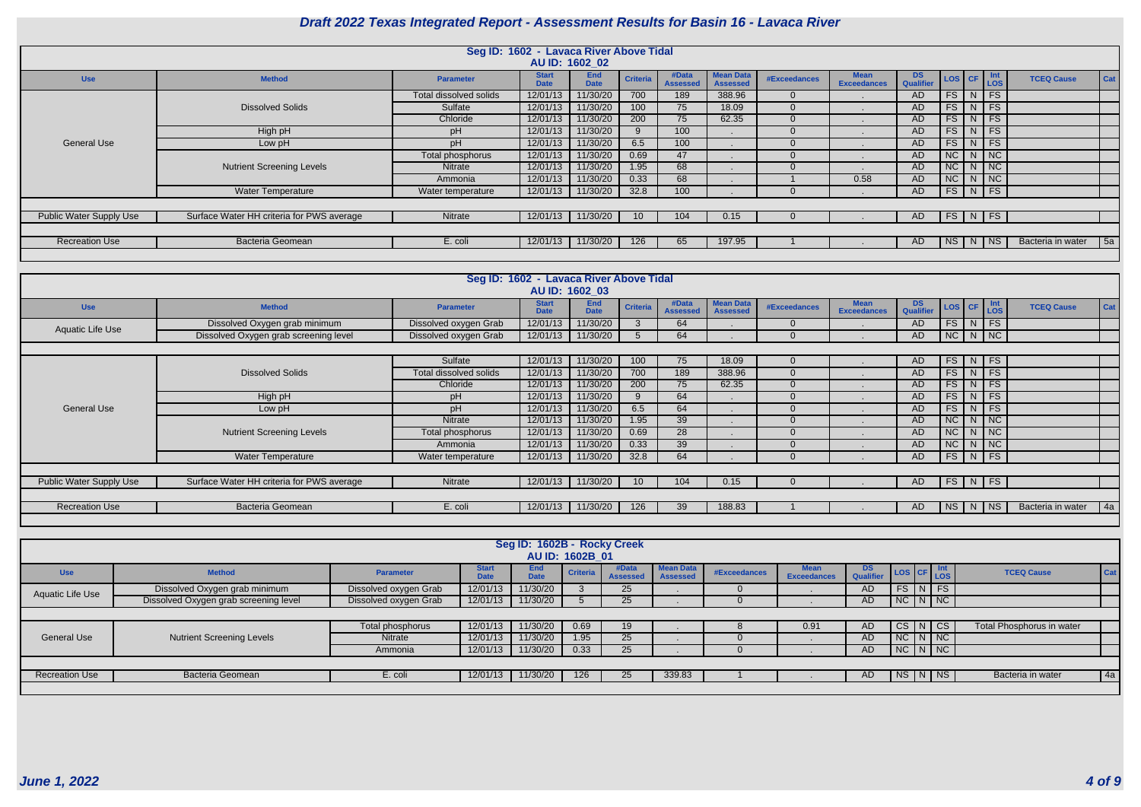|                                |                                           |                               | Seg ID: 1602 - Lavaca River Above Tidal | AU ID: 1602 02            |                  |                          |                                     |                |                                   |                 |                                     |          |                   |     |
|--------------------------------|-------------------------------------------|-------------------------------|-----------------------------------------|---------------------------|------------------|--------------------------|-------------------------------------|----------------|-----------------------------------|-----------------|-------------------------------------|----------|-------------------|-----|
| <b>Use</b>                     | <b>Method</b>                             | <b>Parameter</b>              | <b>Start</b><br><b>Date</b>             | <b>End</b><br><b>Date</b> | <b>Criteria</b>  | #Data<br><b>Assessed</b> | <b>Mean Data</b><br><b>Assessed</b> | #Exceedances   | <b>Mean</b><br><b>Exceedances</b> | DS<br>Qualifier | LOS CF Int                          |          | <b>TCEQ Cause</b> | Cat |
|                                |                                           | <b>Total dissolved solids</b> | 12/01/13                                | 11/30/20                  | 700              | 189                      | 388.96                              | 0              |                                   | AD.             | FS                                  | $N$ FS   |                   |     |
|                                | <b>Dissolved Solids</b>                   | Sulfate                       | 12/01/13                                | 11/30/20                  | 100 <sub>1</sub> | 75                       | 18.09                               | 0              |                                   | AD              | <b>FS</b>                           | $N$ FS   |                   |     |
|                                |                                           | Chloride                      | 12/01/13                                | 11/30/20                  | 200              | 75                       | 62.35                               | $\overline{0}$ |                                   | AD              | FS                                  | $N$ FS   |                   |     |
|                                | High pH                                   | pH                            | 12/01/13                                | 11/30/20                  |                  | 100                      |                                     | U              |                                   | AD              | FS                                  | $N$ FS   |                   |     |
| <b>General Use</b>             | Low pH                                    | pH                            | 12/01/13                                | 11/30/20                  | 6.5              | 100                      |                                     |                |                                   | AD.             | FS                                  | $N$ FS   |                   |     |
|                                |                                           | Total phosphorus              | 12/01/13                                | 11/30/20                  | 0.69             | 47                       |                                     |                |                                   | AD              | NC                                  | $N$ NC   |                   |     |
|                                | <b>Nutrient Screening Levels</b>          | Nitrate                       | 12/01/13                                | 11/30/20                  | 1.95             | 68                       |                                     |                |                                   | AD              | $NC$ $N$ $NC$                       |          |                   |     |
|                                |                                           | Ammonia                       | 12/01/13                                | 11/30/20                  | 0.33             | 68                       |                                     |                | 0.58                              | AD              | NC                                  | $N$ $NC$ |                   |     |
|                                | <b>Water Temperature</b>                  | Water temperature             | 12/01/13                                | 11/30/20                  | 32.8             | 100 <sub>1</sub>         |                                     | $\mathbf{U}$   |                                   | AD              | $\mid$ FS $\mid$ N $\mid$ FS $\mid$ |          |                   |     |
|                                |                                           |                               |                                         |                           |                  |                          |                                     |                |                                   |                 |                                     |          |                   |     |
| <b>Public Water Supply Use</b> | Surface Water HH criteria for PWS average | Nitrate                       | 12/01/13                                | 11/30/20                  | 10               | 104                      | 0.15                                |                |                                   | AD              | $FS$ N FS                           |          |                   |     |
|                                |                                           |                               |                                         |                           |                  |                          |                                     |                |                                   |                 |                                     |          |                   |     |
| <b>Recreation Use</b>          | <b>Bacteria Geomean</b>                   | E. coli                       | 12/01/13                                | 11/30/20                  | 126              | 65                       | 197.95                              |                |                                   | AD              | $ NS $ $N$ $NS$                     |          | Bacteria in water | 5a  |
|                                |                                           |                               |                                         |                           |                  |                          |                                     |                |                                   |                 |                                     |          |                   |     |

|                                |                                           |                        | Seg ID: 1602 - Lavaca River Above Tidal |                           |                 |                          |                                     |                     |                            |                        |           |                       |                   |     |
|--------------------------------|-------------------------------------------|------------------------|-----------------------------------------|---------------------------|-----------------|--------------------------|-------------------------------------|---------------------|----------------------------|------------------------|-----------|-----------------------|-------------------|-----|
|                                |                                           |                        |                                         | AU ID: 1602 03            |                 |                          |                                     |                     |                            |                        |           |                       |                   |     |
| <b>Use</b>                     | <b>Method</b>                             | <b>Parameter</b>       | <b>Start</b><br><b>Date</b>             | <b>End</b><br><b>Date</b> | <b>Criteria</b> | #Data<br><b>Assessed</b> | <b>Mean Data</b><br><b>Assessed</b> | <b>#Exceedances</b> | Mean<br><b>Exceedances</b> | <b>DS</b><br>Qualifier | LOS CF    | $\frac{Int}{LOS}$     | <b>TCEQ Cause</b> | Cat |
| Aquatic Life Use               | Dissolved Oxygen grab minimum             | Dissolved oxygen Grab  | 12/01/13                                | 11/30/20                  |                 | 64                       |                                     | $\Omega$            |                            | AD.                    | FS        | $N$ FS                |                   |     |
|                                | Dissolved Oxygen grab screening level     | Dissolved oxygen Grab  | 12/01/13                                | 11/30/20                  |                 | 64                       |                                     | $\Omega$            |                            | AD                     | NC        | $N$ NC                |                   |     |
|                                |                                           |                        |                                         |                           |                 |                          |                                     |                     |                            |                        |           |                       |                   |     |
|                                |                                           | Sulfate                | 12/01/13                                | 11/30/20                  | 100             | 75                       | 18.09                               | $\overline{0}$      |                            | AD                     | FS        | $N$ FS                |                   |     |
|                                | <b>Dissolved Solids</b>                   | Total dissolved solids | 12/01/13                                | 11/30/20                  | 700             | 189                      | 388.96                              | $\mathbf{0}$        |                            | AD                     | FS        | $N$ FS                |                   |     |
|                                |                                           | Chloride               | 12/01/13                                | 11/30/20                  | 200             | 75                       | 62.35                               | $\Omega$            |                            | AD                     | FS        | $N$ FS                |                   |     |
|                                | High pH                                   | pH                     | 12/01/13                                | 11/30/20                  |                 | 64                       |                                     | $\overline{0}$      |                            | AD                     | FS        | $N$ FS                |                   |     |
| <b>General Use</b>             | Low pH                                    | pH                     | 12/01/13                                | 11/30/20                  | 6.5             | 64                       |                                     | $\Omega$            |                            | AD.                    | FS        | $\mid N \mid FS \mid$ |                   |     |
|                                |                                           | <b>Nitrate</b>         | 12/01/13                                | 11/30/20                  | 1.95            | 39                       |                                     | $\mathbf 0$         |                            | AD                     | NC        | $N$   NC              |                   |     |
|                                | <b>Nutrient Screening Levels</b>          | Total phosphorus       | 12/01/13                                | 11/30/20                  | 0.69            | 28                       |                                     | $\Omega$            |                            | AD.                    | NC        | $N$   NC              |                   |     |
|                                |                                           | Ammonia                | 12/01/13                                | 11/30/20                  | 0.33            | 39                       |                                     | $\Omega$            |                            | AD.                    | NC        | $N$ NC                |                   |     |
|                                | <b>Water Temperature</b>                  | Water temperature      | 12/01/13                                | 11/30/20                  | 32.8            | 64                       |                                     | $\overline{0}$      |                            | AD                     | FS        | $\mid N \mid FS \mid$ |                   |     |
|                                |                                           |                        |                                         |                           |                 |                          |                                     |                     |                            |                        |           |                       |                   |     |
| <b>Public Water Supply Use</b> | Surface Water HH criteria for PWS average | Nitrate                | 12/01/13                                | 11/30/20                  |                 | 104                      | 0.15                                |                     |                            | AD                     |           | $FS$ N FS             |                   |     |
|                                |                                           |                        |                                         |                           |                 |                          |                                     |                     |                            |                        |           |                       |                   |     |
| <b>Recreation Use</b>          | <b>Bacteria Geomean</b>                   | E. coli                | 12/01/13                                | 11/30/20                  | 126             | 39                       | 188.83                              |                     |                            | AD                     | <b>NS</b> | <b>NS</b><br>N.       | Bacteria in water | 4a  |
|                                |                                           |                        |                                         |                           |                 |                          |                                     |                     |                            |                        |           |                       |                   |     |

|                       |                                       |                       |                             | Seg ID: 1602B - Rocky Creek |                 |                          |                                     |              |                            |                 |               |                                  |     |
|-----------------------|---------------------------------------|-----------------------|-----------------------------|-----------------------------|-----------------|--------------------------|-------------------------------------|--------------|----------------------------|-----------------|---------------|----------------------------------|-----|
|                       |                                       |                       |                             |                             | AU ID: 1602B 01 |                          |                                     |              |                            |                 |               |                                  |     |
| <b>Use</b>            | <b>Method</b>                         | <b>Parameter</b>      | <b>Start</b><br><b>Date</b> | End<br><b>Date</b>          | <b>Criteria</b> | #Data<br><b>Assessed</b> | <b>Mean Data</b><br><b>Assessed</b> | #Exceedances | lean<br><b>Exceedances</b> | DS<br>Qualifier | LOS CF LOS    | <b>TCEQ Cause</b>                | Cat |
| Aquatic Life Use      | Dissolved Oxygen grab minimum         | Dissolved oxygen Grab | 12/01/13                    | 11/30/20                    |                 | 25                       |                                     |              |                            | AD.             | $FS$ $N$ $FS$ |                                  |     |
|                       | Dissolved Oxygen grab screening level | Dissolved oxygen Grab | 12/01/13                    | 11/30/20                    |                 | 25                       |                                     |              |                            | <b>AD</b>       | NC N NC       |                                  |     |
|                       |                                       |                       |                             |                             |                 |                          |                                     |              |                            |                 |               |                                  |     |
|                       |                                       | Total phosphorus      | 12/01/13                    | 11/30/20                    | 0.69            | 19                       |                                     |              | 0.91                       | AD.             | CS N CS       | <b>Total Phosphorus in water</b> |     |
| <b>General Use</b>    | <b>Nutrient Screening Levels</b>      | <b>Nitrate</b>        | 12/01/13                    | 11/30/20                    | 1.95            | 25                       |                                     |              |                            | AD.             | NC N NC       |                                  |     |
|                       |                                       | Ammonia               | 12/01/13                    | 11/30/20                    | 0.33            | 25                       |                                     |              |                            | <b>AD</b>       | $N$ C $N$ $N$ |                                  |     |
|                       |                                       |                       |                             |                             |                 |                          |                                     |              |                            |                 |               |                                  |     |
| <b>Recreation Use</b> | <b>Bacteria Geomean</b>               | E. coli               | 12/01/13                    | 11/30/20                    | 126             | 25                       | 339.83                              |              |                            | AD.             | NS N NS       | Bacteria in water                | 4a  |
|                       |                                       |                       |                             |                             |                 |                          |                                     |              |                            |                 |               |                                  |     |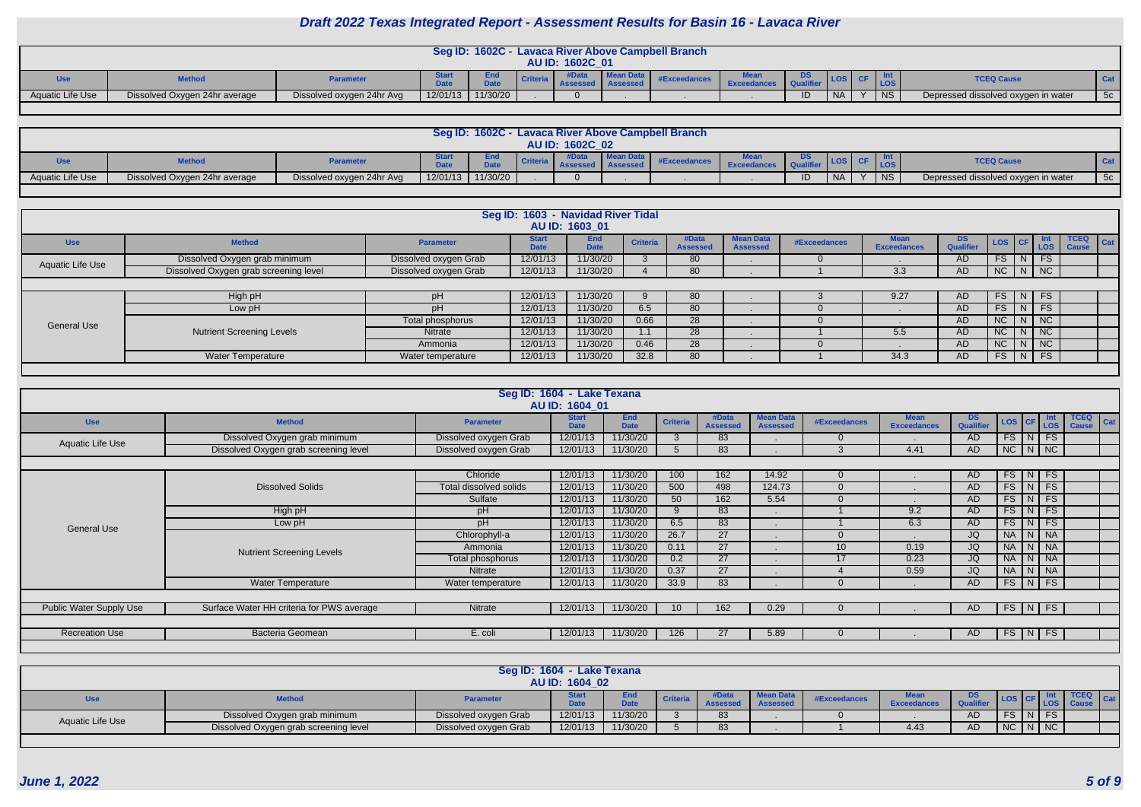|                  |                               |                           |             | Seg ID: 1602C - |  |                 |                  | - Lavaca River Above Campbell Branch |      |    |           |  |      |                                     |            |
|------------------|-------------------------------|---------------------------|-------------|-----------------|--|-----------------|------------------|--------------------------------------|------|----|-----------|--|------|-------------------------------------|------------|
|                  |                               |                           |             |                 |  | AU ID: 1602C 01 |                  |                                      |      |    |           |  |      |                                     |            |
|                  | <b>Method</b>                 | Parameter                 | <b>DALA</b> | <b>1.1.</b>     |  |                 | <b>Mean Data</b> | #Exceedances                         | Mean | א. |           |  | LOS  | <b>TCEQ Cause</b>                   | <b>Cat</b> |
| Aquatic Life Use | Dissolved Oxygen 24hr average | Dissolved oxygen 24hr Avg | 12/01/13    | 11/30/20        |  |                 |                  |                                      |      | ID | <b>NA</b> |  | I NS | Depressed dissolved oxygen in water | 5c/        |
|                  |                               |                           |             |                 |  |                 |                  |                                      |      |    |           |  |      |                                     |            |

|                         |                               |                           |                            | Seg ID: 1602C - |                 | - Lavaca River Above Campbell Branch |             |     |                      |           |           |                                     |       |
|-------------------------|-------------------------------|---------------------------|----------------------------|-----------------|-----------------|--------------------------------------|-------------|-----|----------------------|-----------|-----------|-------------------------------------|-------|
|                         |                               |                           |                            |                 | AU ID: 1602C 02 |                                      |             |     |                      |           |           |                                     |       |
|                         | <b>Method</b>                 | <b>Parameter</b>          | <b>Jual</b><br><b>Date</b> | <b>Data</b>     |                 | <b>#Exceedances</b>                  | <b>Mear</b> | טש. | $\blacksquare$ LOS . |           |           | <b>TCEQ Cause</b>                   | Cat   |
| <b>Aquatic Life Use</b> | Dissolved Oxygen 24hr average | Dissolved oxygen 24hr Avg | 12/01/13                   | 11/30/20        |                 |                                      |             | ID  | <b>NA</b>            | $\lambda$ | <b>NS</b> | Depressed dissolved oxygen in water | $-5c$ |
|                         |                               |                           |                            |                 |                 |                                      |             |     |                      |           |           |                                     |       |

|                    |                                       |                       | Seg ID: 1603 - Navidad River Tidal | AU ID: 1603 01            |                 |                          |                                     |              |                                   |                        |             |                    |            |                                     |
|--------------------|---------------------------------------|-----------------------|------------------------------------|---------------------------|-----------------|--------------------------|-------------------------------------|--------------|-----------------------------------|------------------------|-------------|--------------------|------------|-------------------------------------|
| <b>Use</b>         | <b>Method</b>                         | <b>Parameter</b>      | <b>Start</b><br>Date               | <b>End</b><br><b>Date</b> | <b>Criteria</b> | #Data<br><b>Assessed</b> | <b>Mean Data</b><br><b>Assessed</b> | #Exceedances | <b>Mean</b><br><b>Exceedances</b> | <b>DS</b><br>Qualifier |             |                    | LOS CF LOS | <b>TCEQ</b><br>$\vert$ Cat<br>Cause |
| Aquatic Life Use   | Dissolved Oxygen grab minimum         | Dissolved oxygen Grab | 12/01/13                           | 11/30/20                  |                 | 80                       |                                     |              |                                   | AD                     | <b>FS</b>   | $\overline{N}$     | <b>FS</b>  |                                     |
|                    | Dissolved Oxygen grab screening level | Dissolved oxygen Grab | 12/01/13                           | 11/30/20                  |                 | 80                       |                                     |              | 3.3                               | AD                     | NC   N   NC |                    |            |                                     |
|                    |                                       |                       |                                    |                           |                 |                          |                                     |              |                                   |                        |             |                    |            |                                     |
|                    | High pH                               | pH                    | 12/01/13                           | 11/30/20                  |                 | 80                       |                                     |              | 9.27                              | AD.                    | <b>FS</b>   | $\vert N \vert$ FS |            |                                     |
|                    | Low pH                                | pH                    | 12/01/13                           | 11/30/20                  | 6.5             | 80                       |                                     |              |                                   | AD.                    | FS          | -N                 | <b>FS</b>  |                                     |
| <b>General Use</b> |                                       | Total phosphorus      | 12/01/13                           | 11/30/20                  | 0.66            | 28                       |                                     |              |                                   | AD.                    | NC          |                    | NC         |                                     |
|                    | <b>Nutrient Screening Levels</b>      | Nitrate               | 12/01/13                           | 11/30/20                  |                 | 28                       |                                     |              | 5.5                               | AD.                    | <b>NC</b>   |                    | NC         |                                     |
|                    |                                       | Ammonia               | 12/01/13                           | 11/30/20                  | 0.46            | 28                       |                                     |              |                                   | AD.                    | NC          |                    | NC         |                                     |
|                    | <b>Water Temperature</b>              | Water temperature     | 12/01/13                           | 11/30/20                  | 32.8            | 80                       |                                     |              | 34.3                              | AD                     | FS.         | $\Box$ N $\Box$    | <b>FS</b>  |                                     |
|                    |                                       |                       |                                    |                           |                 |                          |                                     |              |                                   |                        |             |                    |            |                                     |

|                         |                                           |                        | Seg ID: 1604 - Lake Texana<br>AU ID: 1604 01 |                           |                 |                          |                                     |              |                                   |                  |                       |        |                             |                                    |
|-------------------------|-------------------------------------------|------------------------|----------------------------------------------|---------------------------|-----------------|--------------------------|-------------------------------------|--------------|-----------------------------------|------------------|-----------------------|--------|-----------------------------|------------------------------------|
| <b>Use</b>              | <b>Method</b>                             | <b>Parameter</b>       | <b>Start</b><br><b>Date</b>                  | <b>End</b><br><b>Date</b> | <b>Criteria</b> | #Data<br><b>Assessed</b> | <b>Mean Data</b><br><b>Assessed</b> | #Exceedances | <b>Mean</b><br><b>Exceedances</b> | DS.<br>Qualifier | LOS CF                |        | Int<br><b>LOS</b>           | <b>TCEQ</b><br>Cat<br><b>Cause</b> |
| Aquatic Life Use        | Dissolved Oxygen grab minimum             | Dissolved oxygen Grab  | 12/01/13                                     | 11/30/20                  | 3               | 83                       |                                     | $\Omega$     |                                   | AD               | $FS$ $N$ $FS$         |        |                             |                                    |
|                         | Dissolved Oxygen grab screening level     | Dissolved oxygen Grab  | 12/01/13                                     | 11/30/20                  |                 | 83                       |                                     | 3            | 4.41                              | AD               | $NC$ $\mid N \mid NC$ |        |                             |                                    |
|                         |                                           |                        |                                              |                           |                 |                          |                                     |              |                                   |                  |                       |        |                             |                                    |
|                         |                                           | Chloride               | 12/01/13                                     | 11/30/20                  | 100             | 162                      | 14.92                               | $\Omega$     |                                   | AD.              | $FS$ $\vert N \vert$  |        | <b>FS</b>                   |                                    |
|                         | <b>Dissolved Solids</b>                   | Total dissolved solids | 12/01/13                                     | 11/30/20                  | 500             | 498                      | 124.73                              |              |                                   | AD               | $FS$ $N$              |        | FS                          |                                    |
|                         |                                           | Sulfate                | 12/01/13                                     | 11/30/20                  | 50              | 162                      | 5.54                                | $\Omega$     |                                   | AD.              | $FS$ $N$              |        | FS                          |                                    |
|                         | High pH                                   | pH                     | 12/01/13                                     | 11/30/20                  | $\alpha$        | 83                       |                                     |              | 9.2                               | AD               | FS                    | N      | <b>FS</b>                   |                                    |
| <b>General Use</b>      | Low pH                                    | pH                     | 12/01/13                                     | 11/30/20                  | 6.5             | 83                       |                                     |              | 6.3                               | AD               | FS                    | N      | FS                          |                                    |
|                         |                                           | Chlorophyll-a          | 12/01/13                                     | 11/30/20                  | 26.7            | 27                       |                                     |              |                                   | JQ               | NA                    | N   NA |                             |                                    |
|                         | <b>Nutrient Screening Levels</b>          | Ammonia                | 12/01/13                                     | 11/30/20                  | 0.11            | 27                       |                                     | 10           | 0.19                              | JQ               | NA                    | N      | $\overline{\phantom{a}}$ NA |                                    |
|                         |                                           | Total phosphorus       | 12/01/13                                     | 11/30/20                  | 0.2             | 27                       |                                     | 17           | 0.23                              | JQ               | NA                    | N      | $\overline{\phantom{a}}$ NA |                                    |
|                         |                                           | <b>Nitrate</b>         | 12/01/13                                     | 11/30/20                  | 0.37            | 27                       |                                     |              | 0.59                              | JQ               | NA                    | NNA    |                             |                                    |
|                         | <b>Water Temperature</b>                  | Water temperature      | 12/01/13                                     | 11/30/20                  | 33.9            | 83                       |                                     |              |                                   | AD               | $FS$ $\vert N \vert$  |        | FS                          |                                    |
|                         |                                           |                        |                                              |                           |                 |                          |                                     |              |                                   |                  |                       |        |                             |                                    |
| Public Water Supply Use | Surface Water HH criteria for PWS average | Nitrate                | 12/01/13                                     | 11/30/20                  | 10              | 162                      | 0.29                                |              |                                   | AD.              | $FS$ $N$              |        | FS                          |                                    |
|                         |                                           |                        |                                              |                           |                 |                          |                                     |              |                                   |                  |                       |        |                             |                                    |
| <b>Recreation Use</b>   | Bacteria Geomean                          | E. coli                | 12/01/13                                     | 11/30/20                  | 126             | 27                       | 5.89                                | $\Omega$     |                                   | AD.              | FS   N   FS           |        |                             |                                    |
|                         |                                           |                        |                                              |                           |                 |                          |                                     |              |                                   |                  |                       |        |                             |                                    |

|                  |                                       |                       | Seg ID: 1604 - Lake Texana<br>AU ID: 1604 02 |                           |                 |            |              |                        |    |                      |    |     |
|------------------|---------------------------------------|-----------------------|----------------------------------------------|---------------------------|-----------------|------------|--------------|------------------------|----|----------------------|----|-----|
| <b>Use</b>       | <b>Method</b>                         | <b>Parameter</b>      |                                              | <b>End</b><br><b>Date</b> | <b>Criteria</b> |            | #Exceedances | <b>MA --</b><br>Exceed |    |                      |    | Cat |
| Aquatic Life Use | Dissolved Oxygen grab minimum         | Dissolved oxygen Grab | 12/01/13                                     | 11/30/20                  |                 | <u>റ</u> െ |              |                        | AD | $FS$ $\vert N \vert$ | FS |     |
|                  | Dissolved Oxygen grab screening level | Dissolved oxygen Grab | 12/01/13                                     | 11/30/20                  |                 | $\circ$    |              | 4.43                   | AD | $NC$ $N$ $NC$        |    |     |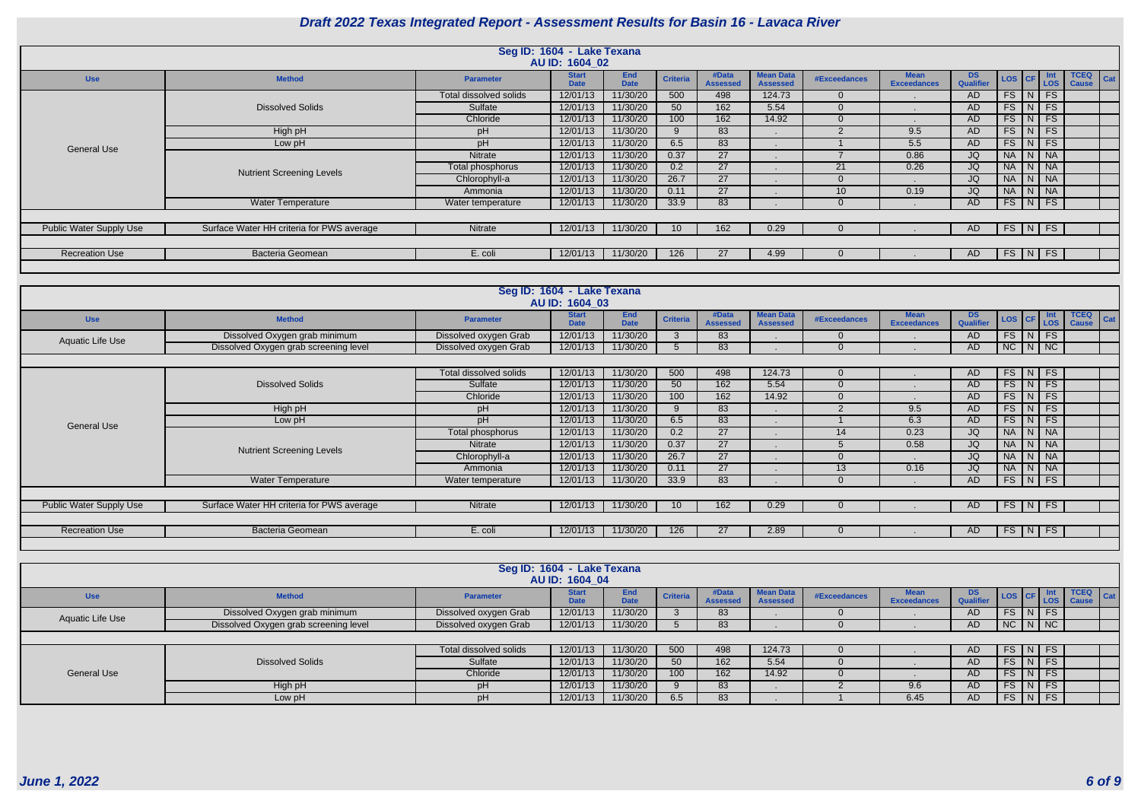|                                |                                           |                        | Seg ID: 1604 - Lake Texana<br>AU ID: 1604 02 |                           |                 |                          |                                     |              |                                   |                               |            |                     |                               |
|--------------------------------|-------------------------------------------|------------------------|----------------------------------------------|---------------------------|-----------------|--------------------------|-------------------------------------|--------------|-----------------------------------|-------------------------------|------------|---------------------|-------------------------------|
| <b>Use</b>                     | <b>Method</b>                             | <b>Parameter</b>       | <b>Start</b><br><b>Date</b>                  | <b>End</b><br><b>Date</b> | <b>Criteria</b> | #Data<br><b>Assessed</b> | <b>Mean Data</b><br><b>Assessed</b> | #Exceedances | <b>Mean</b><br><b>Exceedances</b> | <b>DS</b><br><b>Qualifier</b> | LOS CF LOS |                     | TCEQ  <br>Cat<br><b>Cause</b> |
|                                |                                           | Total dissolved solids | 12/01/13                                     | 11/30/20                  | 500             | 498                      | 124.73                              | $\Omega$     |                                   | AD.                           |            | $FS$ $N$ $FS$       |                               |
|                                | <b>Dissolved Solids</b>                   | Sulfate                | 12/01/13                                     | 11/30/20                  | 50              | 162                      | 5.54                                | $\Omega$     |                                   | AD.                           |            | $FS$ $N$ $FS$       |                               |
|                                |                                           | Chloride               | 12/01/13                                     | 11/30/20                  | 100             | 162                      | 14.92                               | $\Omega$     |                                   | AD                            |            | $FS$ $N$ $FS$       |                               |
|                                | High pH                                   | pH                     | 12/01/13                                     | 11/30/20                  |                 | 83                       |                                     |              | 9.5                               | AD                            |            | $FS$ $N$ $FS$       |                               |
| <b>General Use</b>             | Low pH                                    | pH                     | 12/01/13                                     | 11/30/20                  | 6.5             | 83                       |                                     |              | 5.5                               | AD                            | FS         | $N$ FS              |                               |
|                                |                                           | <b>Nitrate</b>         | 12/01/13                                     | 11/30/20                  | 0.37            | 27                       |                                     |              | 0.86                              | JQ                            |            | NA N NA             |                               |
|                                | <b>Nutrient Screening Levels</b>          | Total phosphorus       | 12/01/13                                     | 11/30/20                  | 0.2             | 27                       |                                     | 21           | 0.26                              | JQ                            |            | NA N NA             |                               |
|                                |                                           | Chlorophyll-a          | 12/01/13                                     | 11/30/20                  | 26.7            | 27                       |                                     |              |                                   | JQ                            |            | NA N NA             |                               |
|                                |                                           | Ammonia                | 12/01/13                                     | 11/30/20                  | 0.11            | 27                       |                                     | 10           | 0.19                              | JQ                            |            | NA N NA             |                               |
|                                | <b>Water Temperature</b>                  | Water temperature      | 12/01/13                                     | 11/30/20                  | 33.9            | 83                       |                                     | $\Omega$     |                                   | AD                            |            | $FS$ $N$ $FS$       |                               |
|                                |                                           |                        |                                              |                           |                 |                          |                                     |              |                                   |                               |            |                     |                               |
| <b>Public Water Supply Use</b> | Surface Water HH criteria for PWS average | Nitrate                | 12/01/13                                     | 11/30/20                  | 10              | 162                      | 0.29                                |              |                                   | AD.                           |            | $FS$ $N$ $FS$       |                               |
|                                |                                           |                        |                                              |                           |                 |                          |                                     |              |                                   |                               |            |                     |                               |
| <b>Recreation Use</b>          | Bacteria Geomean                          | E. coli                | 12/01/13                                     | 11/30/20                  | 126             | 27                       | 4.99                                |              |                                   | AD.                           |            | $FS \mid N \mid FS$ |                               |
|                                |                                           |                        |                                              |                           |                 |                          |                                     |              |                                   |                               |            |                     |                               |

|                                |                                           |                        | Seg ID: 1604 - Lake Texana<br>AU ID: 1604_03 |                           |                 |                          |                                     |               |                                   |                               |                  |               |                   |                                    |
|--------------------------------|-------------------------------------------|------------------------|----------------------------------------------|---------------------------|-----------------|--------------------------|-------------------------------------|---------------|-----------------------------------|-------------------------------|------------------|---------------|-------------------|------------------------------------|
| <b>Use</b>                     | <b>Method</b>                             | <b>Parameter</b>       | <b>Start</b><br><b>Date</b>                  | <b>End</b><br><b>Date</b> | <b>Criteria</b> | #Data<br><b>Assessed</b> | <b>Mean Data</b><br><b>Assessed</b> | #Exceedances  | <b>Mean</b><br><b>Exceedances</b> | <b>DS</b><br><b>Qualifier</b> | LOS   CF         |               | Int<br><b>LOS</b> | <b>TCEQ</b><br>Cat<br><b>Cause</b> |
| Aquatic Life Use               | Dissolved Oxygen grab minimum             | Dissolved oxygen Grab  | 12/01/13                                     | 11/30/20                  |                 | 83                       |                                     | $\Omega$      |                                   | AD                            | $FS$ $N$         |               | <b>FS</b>         |                                    |
|                                | Dissolved Oxygen grab screening level     | Dissolved oxygen Grab  | 12/01/13                                     | 11/30/20                  |                 | 83                       |                                     | $\Omega$      |                                   | AD.                           | $NC$ $N$ $NC$    |               |                   |                                    |
|                                |                                           |                        |                                              |                           |                 |                          |                                     |               |                                   |                               |                  |               |                   |                                    |
|                                |                                           | Total dissolved solids | 12/01/13                                     | 11/30/20                  | 500             | 498                      | 124.73                              | $\Omega$      |                                   | AD                            | $FS$ $N$ $FS$    |               |                   |                                    |
|                                | <b>Dissolved Solids</b>                   | Sulfate                | 12/01/13                                     | 11/30/20                  | 50              | 162                      | 5.54                                | $\Omega$      |                                   | AD                            |                  | $FS$ $N$ $FS$ |                   |                                    |
|                                |                                           | Chloride               | 12/01/13                                     | 11/30/20                  | 100             | 162                      | 14.92                               | $\Omega$      |                                   | AD                            |                  | $FS$ $N$ $FS$ |                   |                                    |
|                                | High pH                                   | pH                     | 12/01/13                                     | 11/30/20                  | <b>Q</b>        | 83                       |                                     | $\mathcal{D}$ | 9.5                               | AD.                           |                  | $FS$ $N$ $FS$ |                   |                                    |
| <b>General Use</b>             | Low pH                                    | pH                     | 12/01/13                                     | 11/30/20                  | 6.5             | 83                       |                                     |               | 6.3                               | AD                            | $FS$ $N$         |               | FS                |                                    |
|                                |                                           | Total phosphorus       | 12/01/13                                     | 11/30/20                  | 0.2             | 27                       |                                     | 14            | 0.23                              | JQ                            | NA N NA          |               |                   |                                    |
|                                | <b>Nutrient Screening Levels</b>          | Nitrate                | 12/01/13                                     | 11/30/20                  | 0.37            | 27                       |                                     |               | 0.58                              | JQ                            |                  | NA   N   NA   |                   |                                    |
|                                |                                           | Chlorophyll-a          | 12/01/13                                     | 11/30/20                  | 26.7            | 27                       |                                     | $\Omega$      |                                   | JQ                            |                  | NA   N   NA   |                   |                                    |
|                                |                                           | Ammonia                | 12/01/13                                     | 11/30/20                  | 0.11            | 27                       |                                     | 13            | 0.16                              | JQ7                           |                  | NA N NA       |                   |                                    |
|                                | <b>Water Temperature</b>                  | Water temperature      | 12/01/13                                     | 11/30/20                  | 33.9            | 83                       |                                     | $\Omega$      |                                   | AD                            | $FS$ $N$ $FS$    |               |                   |                                    |
|                                |                                           |                        |                                              |                           |                 |                          |                                     |               |                                   |                               |                  |               |                   |                                    |
| <b>Public Water Supply Use</b> | Surface Water HH criteria for PWS average | Nitrate                | 12/01/13                                     | 11/30/20                  | 10 <sup>°</sup> | 162                      | 0.29                                | $\Omega$      |                                   | AD                            | $FS$ $N$         |               | FS                |                                    |
|                                |                                           |                        |                                              |                           |                 |                          |                                     |               |                                   |                               |                  |               |                   |                                    |
| <b>Recreation Use</b>          | Bacteria Geomean                          | E. coli                | 12/01/13                                     | 11/30/20                  | 126             | 27                       | 2.89                                | $\Omega$      |                                   | AD.                           | $FS \mid N \mid$ |               | <b>FS</b>         |                                    |
|                                |                                           |                        |                                              |                           |                 |                          |                                     |               |                                   |                               |                  |               |                   |                                    |

|                    |                                       |                        | Seg ID: 1604 - Lake Texana<br>AU ID: 1604 04 |                    |                 |                          |                                     |              |                            |                         |                  |               |           |                             |  |
|--------------------|---------------------------------------|------------------------|----------------------------------------------|--------------------|-----------------|--------------------------|-------------------------------------|--------------|----------------------------|-------------------------|------------------|---------------|-----------|-----------------------------|--|
| <b>Use</b>         | <b>Method</b>                         | <b>Parameter</b>       | <b>Start</b><br><b>Data</b>                  | End<br><b>Date</b> | <b>Criteria</b> | #Data<br><b>Assessed</b> | <b>Mean Data</b><br><b>Assessed</b> | #Exceedances | Mean<br><b>Exceedances</b> | DS.<br><b>Qualifier</b> | LOS CF LOS       |               |           | TCEQ<br>Cat<br><b>Cause</b> |  |
| Aquatic Life Use   | Dissolved Oxygen grab minimum         | Dissolved oxygen Grab  | 12/01/13                                     | 11/30/20           |                 | 83                       |                                     |              |                            | AD.                     |                  | $FS$ $N$ $FS$ |           |                             |  |
|                    | Dissolved Oxygen grab screening level | Dissolved oxygen Grab  | 12/01/13                                     | 11/30/20           |                 | 83                       |                                     |              |                            | AD.                     | $N$ C $N$ $N$    |               |           |                             |  |
|                    |                                       |                        |                                              |                    |                 |                          |                                     |              |                            |                         |                  |               |           |                             |  |
|                    |                                       | Total dissolved solids | 12/01/13                                     | 11/30/20           | 500             | 498                      | 124.73                              |              |                            | AD.                     | $FS$ $N$ $FS$    |               |           |                             |  |
|                    | <b>Dissolved Solids</b>               | Sulfate                | 12/01/13                                     | 11/30/20           | 50              | 162                      | 5.54                                |              |                            | AD.                     | FS               | $N$ FS        |           |                             |  |
| <b>General Use</b> |                                       | Chloride               | 12/01/13                                     | 11/30/20           | 100             | 162                      | 14.92                               |              |                            | AD.                     |                  | $FS$ $N$ $FS$ |           |                             |  |
|                    | High pH                               | рH                     | 12/01/13                                     | 11/30/20           |                 | 83                       |                                     |              | 9.6                        | AD.                     | $FS$ $N$ $FS$    |               |           |                             |  |
|                    | Low pH                                | рH                     | 12/01/13                                     | 11/30/20           | 6.5             | 83                       |                                     |              | 6.45                       | AD.                     | $FS \mid N \mid$ |               | <b>FS</b> |                             |  |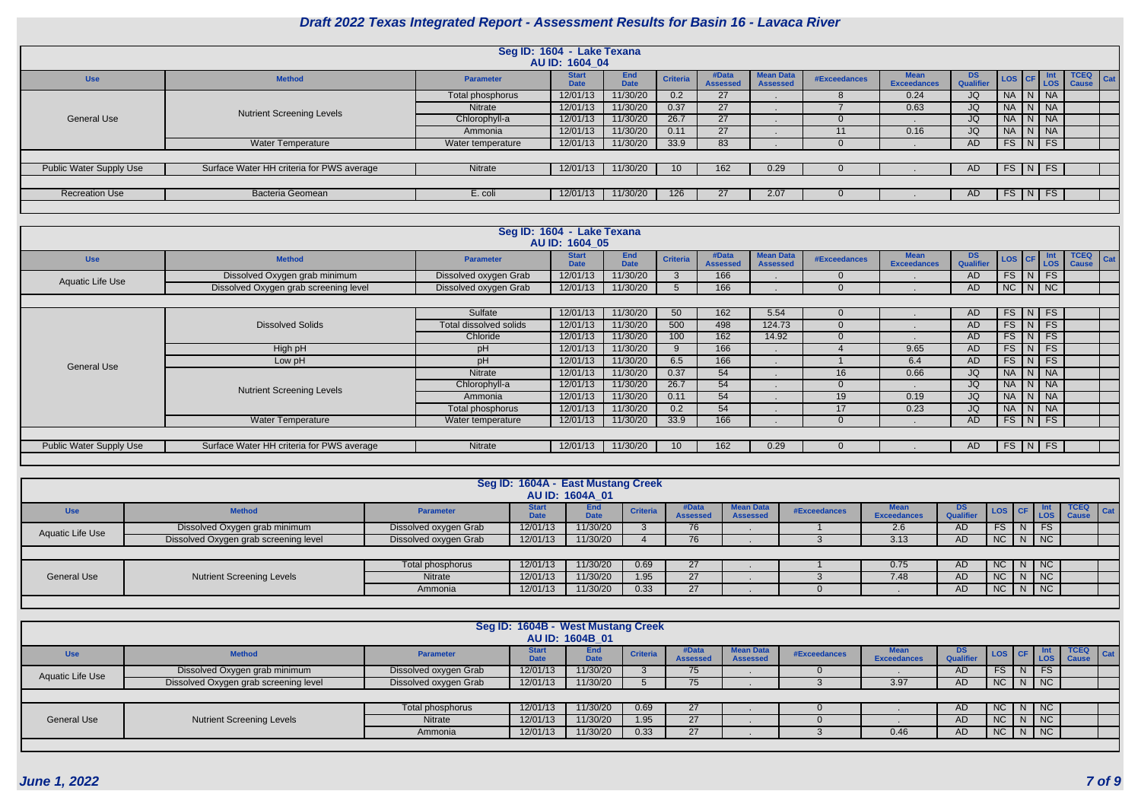|                         |                                           |                   | Seg ID: 1604 - Lake Texana<br>AU ID: 1604 04 |                    |                 |                          |                                     |              |                                   |                               |                                                                             |   |                             |                                    |
|-------------------------|-------------------------------------------|-------------------|----------------------------------------------|--------------------|-----------------|--------------------------|-------------------------------------|--------------|-----------------------------------|-------------------------------|-----------------------------------------------------------------------------|---|-----------------------------|------------------------------------|
| <b>Use</b>              | <b>Method</b>                             | <b>Parameter</b>  | <b>Start</b><br><b>Date</b>                  | End<br><b>Date</b> | <b>Criteria</b> | #Data<br><b>Assessed</b> | <b>Mean Data</b><br><b>Assessed</b> | #Exceedances | <b>Mean</b><br><b>Exceedances</b> | <b>DS</b><br><b>Qualifier</b> | $\left  \text{cos} \right  \text{CF} \right  \frac{\text{int}}{\text{LOS}}$ |   | lnt -                       | <b>TCEQ</b><br>Cat<br><b>Cause</b> |
|                         |                                           | Total phosphorus  | 12/01/13                                     | 11/30/20           | 0.2             | 27                       |                                     |              | 0.24                              | JQ                            | NA                                                                          |   | $\overline{\phantom{a}}$ NA |                                    |
|                         | <b>Nutrient Screening Levels</b>          | <b>Nitrate</b>    | 12/01/13                                     | 11/30/20           | 0.37            | 27                       |                                     |              | 0.63                              | JQ                            | NA                                                                          |   | I NA                        |                                    |
| <b>General Use</b>      |                                           | Chlorophyll-a     | 12/01/13                                     | 11/30/20           | 26.7            | 27                       |                                     |              |                                   | JQ                            | NA                                                                          | N | $\overline{\phantom{a}}$ NA |                                    |
|                         |                                           | Ammonia           | 12/01/13                                     | 11/30/20           | 0.11            | 27                       |                                     | 11           | 0.16                              | JQ                            | NA                                                                          |   | $\overline{\phantom{a}}$ NA |                                    |
|                         | <b>Water Temperature</b>                  | Water temperature | 12/01/13                                     | 11/30/20           | 33.9            | 83                       |                                     |              |                                   | AD                            | FS   N                                                                      |   | FS                          |                                    |
|                         |                                           |                   |                                              |                    |                 |                          |                                     |              |                                   |                               |                                                                             |   |                             |                                    |
| Public Water Supply Use | Surface Water HH criteria for PWS average | Nitrate           | 12/01/13                                     | 11/30/20           |                 | 162                      | 0.29                                |              |                                   | AD.                           | FS   N                                                                      |   | <b>FS</b>                   |                                    |
|                         |                                           |                   |                                              |                    |                 |                          |                                     |              |                                   |                               |                                                                             |   |                             |                                    |
| <b>Recreation Use</b>   | <b>Bacteria Geomean</b>                   | E. coli           | 12/01/13                                     | 11/30/20           | 126             | 27                       | 2.07                                |              |                                   | AD.                           | $FS$ $\vert N \vert$                                                        |   | <b>FS</b>                   |                                    |
|                         |                                           |                   |                                              |                    |                 |                          |                                     |              |                                   |                               |                                                                             |   |                             |                                    |

|                         |                                           |                        | Seg ID: 1604 - Lake Texana<br>AU ID: 1604 05 |                           |                 |                          |                                     |                     |                                   |                         |               |                                |                              |
|-------------------------|-------------------------------------------|------------------------|----------------------------------------------|---------------------------|-----------------|--------------------------|-------------------------------------|---------------------|-----------------------------------|-------------------------|---------------|--------------------------------|------------------------------|
| <b>Use</b>              | <b>Method</b>                             | <b>Parameter</b>       | <b>Start</b><br><b>Date</b>                  | <b>End</b><br><b>Date</b> | <b>Criteria</b> | #Data<br><b>Assessed</b> | <b>Mean Data</b><br><b>Assessed</b> | <b>#Exceedances</b> | <b>Mean</b><br><b>Exceedances</b> | DS.<br><b>Qualifier</b> | LOS   CF      | <b>Int</b><br>LOS <sup>1</sup> | $TCEQ$ $Cat$<br><b>Cause</b> |
| Aquatic Life Use        | Dissolved Oxygen grab minimum             | Dissolved oxygen Grab  | 12/01/13                                     | 11/30/20                  |                 | 166                      |                                     | $\Omega$            |                                   | AD                      |               | $FS$ $N$ $FS$                  |                              |
|                         | Dissolved Oxygen grab screening level     | Dissolved oxygen Grab  | 12/01/13                                     | 11/30/20                  |                 | 166                      |                                     | $\Omega$            |                                   | AD.                     | $NC$ $N$ $NC$ |                                |                              |
|                         |                                           |                        |                                              |                           |                 |                          |                                     |                     |                                   |                         |               |                                |                              |
|                         |                                           | Sulfate                | 12/01/13                                     | 11/30/20                  | 50              | 162                      | 5.54                                | $\Omega$            |                                   | AD.                     |               | $FS\mid N \mid FS$             |                              |
|                         | <b>Dissolved Solids</b>                   | Total dissolved solids | 12/01/13                                     | 11/30/20                  | 500             | 498                      | 124.73                              | $\Omega$            |                                   | AD.                     |               | $FS$ $N$ $FS$                  |                              |
|                         |                                           | Chloride               | 12/01/13                                     | 11/30/20                  | 100             | 162                      | 14.92                               | $\Omega$            |                                   | AD.                     |               | $FS$ $N$ $FS$                  |                              |
|                         | High pH                                   | рH                     | 12/01/13                                     | 11/30/20                  |                 | 166                      |                                     |                     | 9.65                              | AD.                     |               | $FS$ $N$ $FS$                  |                              |
| <b>General Use</b>      | Low pH                                    | pH                     | 12/01/13                                     | 11/30/20                  | 6.5             | 166                      |                                     |                     | 6.4                               | AD                      | FS            | FS<br>$\vert N \vert$          |                              |
|                         |                                           | <b>Nitrate</b>         | 12/01/13                                     | 11/30/20                  | 0.37            | 54                       |                                     | 16                  | 0.66                              | JQ                      | NA            | N   NA                         |                              |
|                         | <b>Nutrient Screening Levels</b>          | Chlorophyll-a          | 12/01/13                                     | 11/30/20                  | 26.7            | 54                       |                                     | $\Omega$            |                                   | JQ                      |               | NA N NA                        |                              |
|                         |                                           | Ammonia                | 12/01/13                                     | 11/30/20                  | 0.11            | 54                       |                                     | 19                  | 0.19                              | JQ                      |               | NA N NA                        |                              |
|                         |                                           | Total phosphorus       | 12/01/13                                     | 11/30/20                  | 0.2             | 54                       |                                     | 17                  | 0.23                              | JQ                      |               | NA   N   NA                    |                              |
|                         | <b>Water Temperature</b>                  | Water temperature      | 12/01/13                                     | 11/30/20                  | 33.9            | 166                      |                                     | $\Omega$            |                                   | AD.                     | $FS$ $N$ $FS$ |                                |                              |
|                         |                                           |                        |                                              |                           |                 |                          |                                     |                     |                                   |                         |               |                                |                              |
| Public Water Supply Use | Surface Water HH criteria for PWS average | Nitrate                | 12/01/13                                     | 11/30/20                  | 10 <sup>°</sup> | 162                      | 0.29                                | $\Omega$            |                                   | AD                      | $FS$ $N$ $FS$ |                                |                              |
|                         |                                           |                        |                                              |                           |                 |                          |                                     |                     |                                   |                         |               |                                |                              |

|                    |                                       |                       | Seg ID: 1604A - East Mustang Creek | AU ID: 1604A 01 |                 |                          |                                     |                     |                                   |                         |           |                             |                                            |
|--------------------|---------------------------------------|-----------------------|------------------------------------|-----------------|-----------------|--------------------------|-------------------------------------|---------------------|-----------------------------------|-------------------------|-----------|-----------------------------|--------------------------------------------|
| <b>Use</b>         | <b>Method</b>                         | <b>Parameter</b>      | Start<br><b>Date</b>               | End<br>Dota     | <b>Criteria</b> | #Data<br><b>Assessed</b> | <b>Mean Data</b><br><b>Assessed</b> | <b>#Exceedances</b> | <b>Mean</b><br><b>Exceedances</b> | DS.<br><b>Qualifier</b> |           |                             | <b>TCEQ</b><br>$ $ Cat<br>LOS CF LOS Cause |
| Aquatic Life Use   | Dissolved Oxygen grab minimum         | Dissolved oxygen Grab | 12/01/13                           | 11/30/20        |                 | 76                       |                                     |                     | 2.6                               | AD                      | <b>FS</b> | <b>FS</b>                   |                                            |
|                    | Dissolved Oxygen grab screening level | Dissolved oxygen Grab | 12/01/13                           | 11/30/20        |                 | 76                       |                                     |                     | 3.13                              | AD                      |           | $NC$ $N$ $NC$               |                                            |
|                    |                                       |                       |                                    |                 |                 |                          |                                     |                     |                                   |                         |           |                             |                                            |
|                    |                                       | Total phosphorus      | 12/01/13                           | 11/30/20        | 0.69            | <b>27</b>                |                                     |                     | 0.75                              | AD.                     |           | $NC$   $N$   $NC$           |                                            |
| <b>General Use</b> | <b>Nutrient Screening Levels</b>      | Nitrate               | 12/01/13                           | 11/30/20        | 1.95            | 27                       |                                     |                     | 7.48                              | AD.                     | NC        | $\overline{\phantom{a}}$ NC |                                            |
|                    |                                       | Ammonia               | 12/01/13                           | 11/30/20        | 0.33            | 27                       |                                     |                     |                                   | AD                      |           | $NC$ $N$ $NC$               |                                            |
|                    |                                       |                       |                                    |                 |                 |                          |                                     |                     |                                   |                         |           |                             |                                            |

|                    |                                       |                       | Seg ID: 1604B - West Mustang Creek | AU ID: 1604B 01 |                 |                          |                                     |              |                                   |                         |           |   |            |                             |             |
|--------------------|---------------------------------------|-----------------------|------------------------------------|-----------------|-----------------|--------------------------|-------------------------------------|--------------|-----------------------------------|-------------------------|-----------|---|------------|-----------------------------|-------------|
| <b>Use</b>         | <b>Method</b>                         | <b>Parameter</b>      | <b>Start</b>                       | End<br>Date     | <b>Criteria</b> | #Data<br><b>Assessed</b> | <b>Mean Data</b><br><b>Assessed</b> | #Exceedances | <b>Mean</b><br><b>Exceedances</b> | DS.<br><b>Qualifier</b> | LOS CF    |   | <b>LOS</b> | <b>TCEQ</b><br><b>Cause</b> | $\vert$ Cat |
| Aquatic Life Use   | Dissolved Oxygen grab minimum         | Dissolved oxygen Grab | 12/01/13                           | 11/30/20        |                 | 75                       |                                     |              |                                   | <b>AD</b>               | <b>FS</b> |   | <b>FS</b>  |                             |             |
|                    | Dissolved Oxygen grab screening level | Dissolved oxygen Grab | 12/01/13                           | 11/30/20        |                 | 75                       |                                     |              | 3.97                              | AD                      | NC        | N | NC         |                             |             |
|                    |                                       |                       |                                    |                 |                 |                          |                                     |              |                                   |                         |           |   |            |                             |             |
|                    |                                       | Total phosphorus      | 12/01/13                           | 11/30/20        | 0.69            | 27                       |                                     |              |                                   | AD                      | NC        |   | $N$   NC   |                             |             |
| <b>General Use</b> | <b>Nutrient Screening Levels</b>      | Nitrate               | 12/01/13                           | 11/30/20        | 1.95            | 27                       |                                     |              |                                   | AD                      | <b>NC</b> |   | NC         |                             |             |
|                    |                                       | Ammonia               | 12/01/13                           | 11/30/20        | 0.33            | 27                       |                                     |              | 0.46                              | AD                      | NC        | N | NC         |                             |             |
|                    |                                       |                       |                                    |                 |                 |                          |                                     |              |                                   |                         |           |   |            |                             |             |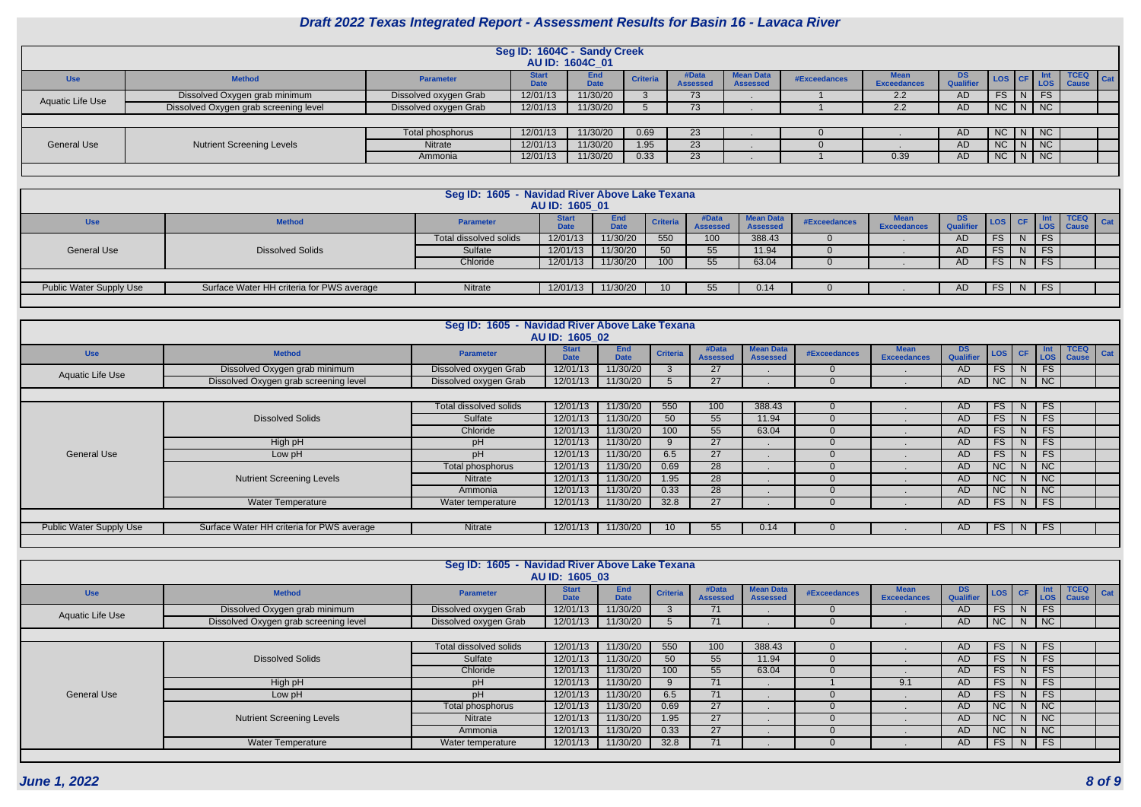|                    |                                       |                       | Seg ID: 1604C - Sandy Creek | AU ID: 1604C 01           |                 |                          |                                     |              |                                   |                         |              |                    |                             |     |
|--------------------|---------------------------------------|-----------------------|-----------------------------|---------------------------|-----------------|--------------------------|-------------------------------------|--------------|-----------------------------------|-------------------------|--------------|--------------------|-----------------------------|-----|
| <b>Use</b>         | <b>Method</b>                         | <b>Parameter</b>      | <b>Start</b><br>$\lambda$   | <b>End</b><br><b>Date</b> | <b>Criteria</b> | #Data<br><b>Assessed</b> | <b>Mean Data</b><br><b>Assessed</b> | #Exceedances | <b>Mear</b><br><b>Exceedances</b> | DS.<br><b>Qualifier</b> | ∣ LOS I CF I | LOS <sub>1</sub>   | <b>TCEQ</b><br><b>Cause</b> | Cat |
| Aquatic Life Use   | Dissolved Oxygen grab minimum         | Dissolved oxygen Grab | 12/01/13                    | 11/30/20                  |                 | 73                       |                                     |              | 2.2                               | AD                      | FS.          | $\vert N \vert$ FS |                             |     |
|                    | Dissolved Oxygen grab screening level | Dissolved oxygen Grab | 12/01/13                    | 11/30/20                  |                 | 73                       |                                     |              | 2.2                               | AD                      |              | NC N NC            |                             |     |
|                    |                                       |                       |                             |                           |                 |                          |                                     |              |                                   |                         |              |                    |                             |     |
|                    |                                       | Total phosphorus      | 12/01/13                    | 11/30/20                  | 0.69            | 23                       |                                     |              |                                   | AD.                     |              | NC N NC            |                             |     |
| <b>General Use</b> | <b>Nutrient Screening Levels</b>      | Nitrate               | 12/01/13                    | 11/30/20                  | 1.95            | 23                       |                                     |              |                                   | AD.                     |              | $NC$ $N$ $NC$      |                             |     |
|                    |                                       | Ammonia               | 12/01/13                    | 11/30/20                  | 0.33            | 23                       |                                     |              | 0.39                              | AD                      |              | NC N NC            |                             |     |
|                    |                                       |                       |                             |                           |                 |                          |                                     |              |                                   |                         |              |                    |                             |     |

|                         |                                           | Seg ID: 1605 - Navidad River Above Lake Texana | AU ID: 1605 01 |                           |                 |                          |                              |              |                    |                               |                              |               |             |                              |
|-------------------------|-------------------------------------------|------------------------------------------------|----------------|---------------------------|-----------------|--------------------------|------------------------------|--------------|--------------------|-------------------------------|------------------------------|---------------|-------------|------------------------------|
| <b>Use</b>              | <b>Method</b>                             | <b>Parameter</b>                               | Date           | <b>End</b><br><b>Date</b> | <b>Criteria</b> | #Data<br><b>Assessed</b> | <b>Mean Data</b><br>Assessed | #Exceedances | <b>Exceedances</b> | <b>DS</b><br><b>Qualifier</b> | $\textsf{LOS}$ $\textsf{CF}$ |               | <b>TCEQ</b> | $\overline{\phantom{a}}$ Cat |
|                         |                                           | Total dissolved solids                         | 12/01/13       | 11/30/20                  | 550             | 100                      | 388.43                       |              |                    | AD                            | FS.                          | $\mathsf{FS}$ |             |                              |
| <b>General Use</b>      | <b>Dissolved Solids</b>                   | Sulfate                                        | 12/01/13       | 11/30/20                  | 50              |                          | 11.94                        |              |                    | AD                            | <b>FS</b>                    | FS.           |             |                              |
|                         |                                           | Chloride                                       | 12/01/13       | 11/30/20                  | 100             | 55                       | 63.04                        |              |                    | AD                            | <b>FS</b>                    | <b>FS</b>     |             |                              |
|                         |                                           |                                                |                |                           |                 |                          |                              |              |                    |                               |                              |               |             |                              |
| Public Water Supply Use | Surface Water HH criteria for PWS average | Nitrate                                        | 12/01/13       | 11/30/20                  |                 |                          | 0.14                         |              |                    | AD                            | FS                           | $N$   FS      |             |                              |
|                         |                                           |                                                |                |                           |                 |                          |                              |              |                    |                               |                              |               |             |                              |

|                         |                                           | Seg ID: 1605 - Navidad River Above Lake Texana | AU ID: 1605 02              |                           |                 |                          |                                     |                     |                                   |                               |           |              |                             |                             |     |
|-------------------------|-------------------------------------------|------------------------------------------------|-----------------------------|---------------------------|-----------------|--------------------------|-------------------------------------|---------------------|-----------------------------------|-------------------------------|-----------|--------------|-----------------------------|-----------------------------|-----|
| <b>Use</b>              | <b>Method</b>                             | <b>Parameter</b>                               | <b>Start</b><br><b>Date</b> | <b>End</b><br><b>Date</b> | <b>Criteria</b> | #Data<br><b>Assessed</b> | <b>Mean Data</b><br><b>Assessed</b> | <b>#Exceedances</b> | <b>Mean</b><br><b>Exceedances</b> | <b>DS</b><br><b>Qualifier</b> | LOS CF    |              | <b>Int</b><br><b>Los</b>    | <b>TCEQ</b><br><b>Cause</b> | Cat |
| Aquatic Life Use        | Dissolved Oxygen grab minimum             | Dissolved oxygen Grab                          | 12/01/13                    | 11/30/20                  | 3               | 27                       |                                     |                     |                                   | AD                            | FS        | N            | $\overline{\phantom{a}}$ FS |                             |     |
|                         | Dissolved Oxygen grab screening level     | Dissolved oxygen Grab                          | 12/01/13                    | 11/30/20                  |                 | 27                       |                                     |                     |                                   | AD                            | NC        | N            | $\overline{\phantom{a}}$ NC |                             |     |
|                         |                                           |                                                |                             |                           |                 |                          |                                     |                     |                                   |                               |           |              |                             |                             |     |
|                         |                                           | Total dissolved solids                         | 12/01/13                    | 11/30/20                  | 550             | 100                      | 388.43                              |                     |                                   | AD.                           | <b>FS</b> | N            | $\overline{\phantom{a}}$ FS |                             |     |
|                         | <b>Dissolved Solids</b>                   | Sulfate                                        | 12/01/13                    | 11/30/20                  | 50              | 55                       | 11.94                               |                     |                                   | AD.                           | <b>FS</b> | <sup>N</sup> | <b>FS</b>                   |                             |     |
|                         |                                           | Chloride                                       | 12/01/13                    | 11/30/20                  | 100             | 55                       | 63.04                               |                     |                                   | AD                            | <b>FS</b> | N            | <b>FS</b>                   |                             |     |
|                         | High pH                                   | pH                                             | 12/01/13                    | 11/30/20                  | 9               | 27                       |                                     |                     |                                   | AD                            | <b>FS</b> | N            | $\overline{\phantom{a}}$ FS |                             |     |
| <b>General Use</b>      | Low pH                                    | pH                                             | 12/01/13                    | 11/30/20                  | 6.5             | 27                       |                                     |                     |                                   | AD                            | FS        | N            | $\overline{\phantom{a}}$ FS |                             |     |
|                         |                                           | Total phosphorus                               | 12/01/13                    | 11/30/20                  | 0.69            | 28                       |                                     |                     |                                   | <b>AD</b>                     | NC        | N            | $\overline{\phantom{a}}$ NC |                             |     |
|                         | <b>Nutrient Screening Levels</b>          | <b>Nitrate</b>                                 | 12/01/13                    | 11/30/20                  | 1.95            | 28                       |                                     |                     |                                   | AD                            | NC        | N            | $\overline{\big }$ NC       |                             |     |
|                         |                                           | Ammonia                                        | 12/01/13                    | 11/30/20                  | 0.33            | 28                       |                                     |                     |                                   | AD                            | NC        | <sup>N</sup> | $\overline{\phantom{a}}$ NC |                             |     |
|                         | <b>Water Temperature</b>                  | Water temperature                              | 12/01/13                    | 11/30/20                  | 32.8            | 27                       |                                     |                     |                                   | AD                            | <b>FS</b> | N            | $\overline{\phantom{a}}$ FS |                             |     |
|                         |                                           |                                                |                             |                           |                 |                          |                                     |                     |                                   |                               |           |              |                             |                             |     |
| Public Water Supply Use | Surface Water HH criteria for PWS average | Nitrate                                        | 12/01/13                    | 11/30/20                  | 10 <sup>1</sup> | 55                       | 0.14                                |                     |                                   | AD.                           |           |              | $FS$ N FS                   |                             |     |
|                         |                                           |                                                |                             |                           |                 |                          |                                     |                     |                                   |                               |           |              |                             |                             |     |

| Seg ID: 1605 - Navidad River Above Lake Texana<br>AU ID: 1605 03 |                                       |                        |                             |                    |                 |                          |                                     |              |                                   |                         |                        |              |                             |                                      |
|------------------------------------------------------------------|---------------------------------------|------------------------|-----------------------------|--------------------|-----------------|--------------------------|-------------------------------------|--------------|-----------------------------------|-------------------------|------------------------|--------------|-----------------------------|--------------------------------------|
| <b>Use</b>                                                       | <b>Method</b>                         | <b>Parameter</b>       | <b>Start</b><br><b>Date</b> | End<br><b>Date</b> | <b>Criteria</b> | #Data<br><b>Assessed</b> | <b>Mean Data</b><br><b>Assessed</b> | #Exceedances | <b>Mean</b><br><b>Exceedances</b> | DS.<br><b>Qualifier</b> | $\vert$ LOS $\vert$ CF |              | LOS                         | <b>TCEQ</b><br>  Cat<br><b>Cause</b> |
| <b>Aquatic Life Use</b>                                          | Dissolved Oxygen grab minimum         | Dissolved oxygen Grab  | 12/01/13                    | 11/30/20           |                 | 71                       |                                     |              |                                   | AD.                     | <b>FS</b>              | N            | $\overline{\phantom{a}}$ FS |                                      |
|                                                                  | Dissolved Oxygen grab screening level | Dissolved oxygen Grab  | 12/01/13                    | 11/30/20           |                 | 71                       |                                     |              |                                   | AD                      | NC                     |              | $N$   NC                    |                                      |
|                                                                  |                                       |                        |                             |                    |                 |                          |                                     |              |                                   |                         |                        |              |                             |                                      |
| <b>General Use</b>                                               | <b>Dissolved Solids</b>               | Total dissolved solids | 12/01/13                    | 11/30/20           | 550             | 100                      | 388.43                              |              |                                   | AD                      | FS.                    | <sup>N</sup> | <b>FS</b>                   |                                      |
|                                                                  |                                       | Sulfate                | 12/01/13                    | 11/30/20           | 50 <sup>°</sup> | 55                       | 11.94                               |              |                                   | AD.                     | <b>FS</b>              | N            | <b>FS</b>                   |                                      |
|                                                                  |                                       | Chloride               | 12/01/13                    | 11/30/20           | 100             | 55                       | 63.04                               |              |                                   | AD                      | <b>FS</b>              | N            | $\overline{\phantom{a}}$ FS |                                      |
|                                                                  | High pH                               | pH                     | 12/01/13                    | 11/30/20           | $\mathbf{Q}$    | 71                       |                                     |              | 9.1                               | AD.                     | <b>FS</b>              | N            | $\overline{\phantom{a}}$ FS |                                      |
|                                                                  | Low pH                                | pH                     | 12/01/13                    | 11/30/20           | 6.5             | 71                       |                                     |              |                                   | AD                      | <b>FS</b>              | N            | $\overline{\phantom{a}}$ FS |                                      |
|                                                                  | <b>Nutrient Screening Levels</b>      | Total phosphorus       | 12/01/13                    | 11/30/20           | 0.69            | 27                       |                                     |              |                                   | AD.                     | NC                     | N            | $\overline{\phantom{a}}$ NC |                                      |
|                                                                  |                                       | <b>Nitrate</b>         | 12/01/13                    | 11/30/20           | 1.95            | 27                       |                                     |              |                                   | AD.                     | NC                     | N            | $\overline{\phantom{a}}$ NC |                                      |
|                                                                  |                                       | Ammonia                | 12/01/13                    | 11/30/20           | 0.33            | 27                       |                                     |              |                                   | AD.                     | NC                     | N            | $\overline{\phantom{a}}$ NC |                                      |
|                                                                  | <b>Water Temperature</b>              | Water temperature      | 12/01/13                    | 11/30/20           | 32.8            | 71                       |                                     |              |                                   | AD                      | <b>FS</b>              |              | $N$ FS                      |                                      |